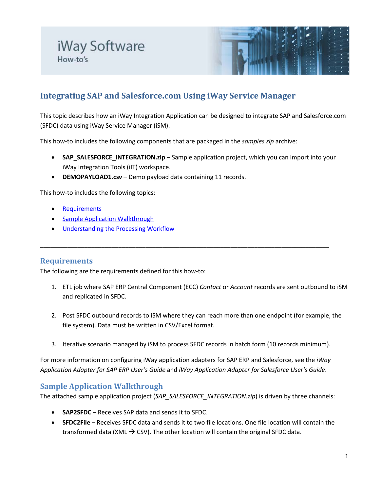

# **Integrating SAP and Salesforce.com Using iWay Service Manager**

This topic describes how an iWay Integration Application can be designed to integrate SAP and Salesforce.com (SFDC) data using iWay Service Manager (iSM).

This how-to includes the following components that are packaged in the *samples.zip* archive:

- **SAP\_SALESFORCE\_INTEGRATION.zip** Sample application project, which you can import into your iWay Integration Tools (iIT) workspace.
- **DEMOPAYLOAD1.csv** Demo payload data containing 11 records.

This how-to includes the following topics:

- **[Requirements](#page-0-0)**
- [Sample Application Walkthrough](#page-0-1)
- [Understanding the Processing Workflow](#page-2-0)

# <span id="page-0-0"></span>**Requirements**

The following are the requirements defined for this how-to:

1. ETL job where SAP ERP Central Component (ECC) *Contact* or *Account* records are sent outbound to iSM and replicated in SFDC.

\_\_\_\_\_\_\_\_\_\_\_\_\_\_\_\_\_\_\_\_\_\_\_\_\_\_\_\_\_\_\_\_\_\_\_\_\_\_\_\_\_\_\_\_\_\_\_\_\_\_\_\_\_\_\_\_\_\_\_\_\_\_\_\_\_\_\_\_\_\_\_\_\_\_\_\_\_\_\_\_\_\_\_\_\_

- 2. Post SFDC outbound records to iSM where they can reach more than one endpoint (for example, the file system). Data must be written in CSV/Excel format.
- 3. Iterative scenario managed by iSM to process SFDC records in batch form (10 records minimum).

For more information on configuring iWay application adapters for SAP ERP and Salesforce, see the *iWay Application Adapter for SAP ERP User's Guide* and *iWay Application Adapter for Salesforce User's Guide*.

# <span id="page-0-1"></span>**Sample Application Walkthrough**

The attached sample application project (*SAP\_SALESFORCE\_INTEGRATION.zip*) is driven by three channels:

- **SAP2SFDC** Receives SAP data and sends it to SFDC.
- **SFDC2File** Receives SFDC data and sends it to two file locations. One file location will contain the transformed data (XML  $\rightarrow$  CSV). The other location will contain the original SFDC data.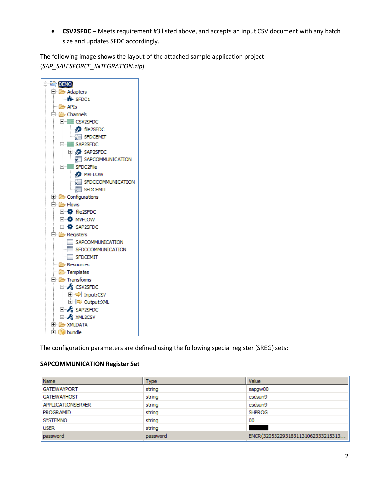• **CSV2SFDC** – Meets requirement #3 listed above, and accepts an input CSV document with any batch size and updates SFDC accordingly.

The following image shows the layout of the attached sample application project (*SAP\_SALESFORCE\_INTEGRATION.zip*).



The configuration parameters are defined using the following special register (SREG) sets:

## **SAPCOMMUNICATION Register Set**

| <b>Name</b>        | <b>Type</b> | Value                             |
|--------------------|-------------|-----------------------------------|
| <b>GATEWAYPORT</b> | string      | sapgw00                           |
| <b>GATEWAYHOST</b> | string      | esdsun9                           |
| APPLICATIONSERVER  | string      | esdsun9                           |
| PROGRAMID          | string      | <b>SHPROG</b>                     |
| <b>SYSTEMNO</b>    | string      | 00                                |
| <b>USER</b>        | string      |                                   |
| password           | password    | ENCR(3205322931831131062333215313 |